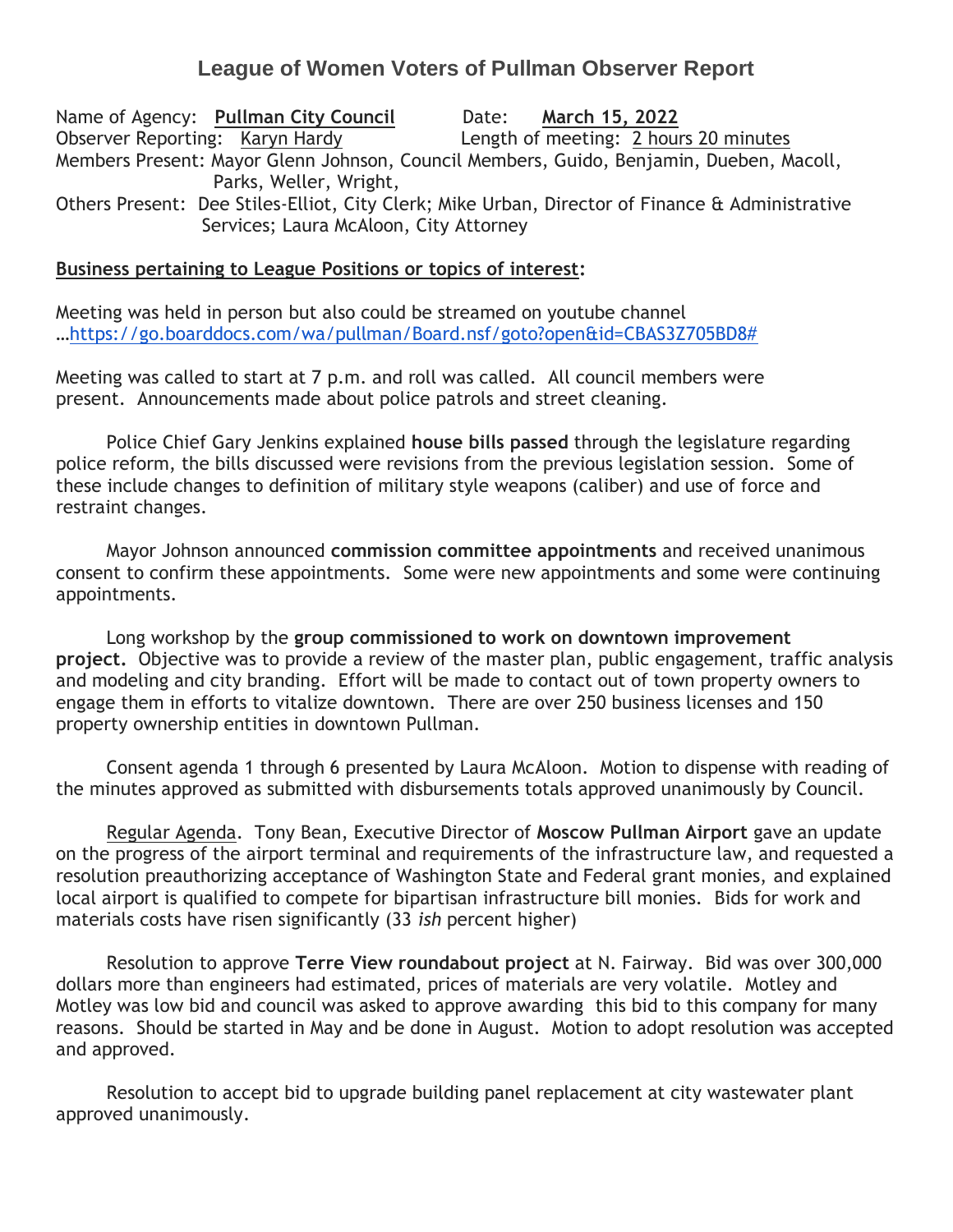## **League of Women Voters of Pullman Observer Report**

Name of Agency: **Pullman City Council** Date: **March 15, 2022** Observer Reporting: Karyn Hardy Length of meeting: 2 hours 20 minutes Members Present: Mayor Glenn Johnson, Council Members, Guido, Benjamin, Dueben, Macoll, Parks, Weller, Wright, Others Present: Dee Stiles-Elliot, City Clerk; Mike Urban, Director of Finance & Administrative Services; Laura McAloon, City Attorney

## **Business pertaining to League Positions or topics of interest:**

Meeting was held in person but also could be streamed on youtube channel …[https://go.boarddocs.com/wa/pullman/Board.nsf/goto?open&id=CBAS3Z705BD8#](https://go.boarddocs.com/wa/pullman/Board.nsf/goto?open&id=CBAS3Z705BD8)

Meeting was called to start at 7 p.m. and roll was called. All council members were present. Announcements made about police patrols and street cleaning.

Police Chief Gary Jenkins explained **house bills passed** through the legislature regarding police reform, the bills discussed were revisions from the previous legislation session. Some of these include changes to definition of military style weapons (caliber) and use of force and restraint changes.

Mayor Johnson announced **commission committee appointments** and received unanimous consent to confirm these appointments. Some were new appointments and some were continuing appointments.

Long workshop by the **group commissioned to work on downtown improvement project.** Objective was to provide a review of the master plan, public engagement, traffic analysis and modeling and city branding. Effort will be made to contact out of town property owners to engage them in efforts to vitalize downtown. There are over 250 business licenses and 150 property ownership entities in downtown Pullman.

Consent agenda 1 through 6 presented by Laura McAloon. Motion to dispense with reading of the minutes approved as submitted with disbursements totals approved unanimously by Council.

Regular Agenda. Tony Bean, Executive Director of **Moscow Pullman Airport** gave an update on the progress of the airport terminal and requirements of the infrastructure law, and requested a resolution preauthorizing acceptance of Washington State and Federal grant monies, and explained local airport is qualified to compete for bipartisan infrastructure bill monies. Bids for work and materials costs have risen significantly (33 *ish* percent higher)

Resolution to approve **Terre View roundabout project** at N. Fairway. Bid was over 300,000 dollars more than engineers had estimated, prices of materials are very volatile. Motley and Motley was low bid and council was asked to approve awarding this bid to this company for many reasons. Should be started in May and be done in August. Motion to adopt resolution was accepted and approved.

 Resolution to accept bid to upgrade building panel replacement at city wastewater plant approved unanimously.